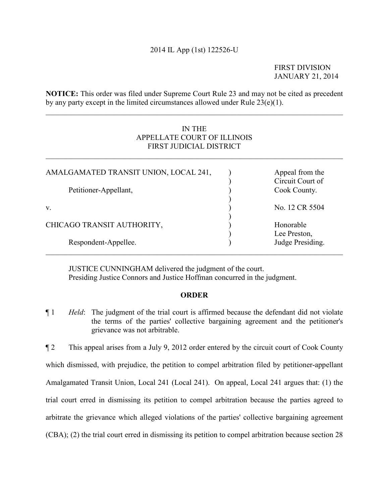## 2014 IL App (1st) 122526-U

FIRST DIVISION JANUARY 21, 2014

**NOTICE:** This order was filed under Supreme Court Rule 23 and may not be cited as precedent by any party except in the limited circumstances allowed under Rule 23(e)(1).

 $\mathcal{L}_\mathcal{L} = \{ \mathcal{L}_\mathcal{L} = \{ \mathcal{L}_\mathcal{L} = \{ \mathcal{L}_\mathcal{L} = \{ \mathcal{L}_\mathcal{L} = \{ \mathcal{L}_\mathcal{L} = \{ \mathcal{L}_\mathcal{L} = \{ \mathcal{L}_\mathcal{L} = \{ \mathcal{L}_\mathcal{L} = \{ \mathcal{L}_\mathcal{L} = \{ \mathcal{L}_\mathcal{L} = \{ \mathcal{L}_\mathcal{L} = \{ \mathcal{L}_\mathcal{L} = \{ \mathcal{L}_\mathcal{L} = \{ \mathcal{L}_\mathcal{$ 

# IN THE APPELLATE COURT OF ILLINOIS FIRST JUDICIAL DISTRICT

 $\mathcal{L}_\mathcal{L} = \{ \mathcal{L}_\mathcal{L} = \{ \mathcal{L}_\mathcal{L} = \{ \mathcal{L}_\mathcal{L} = \{ \mathcal{L}_\mathcal{L} = \{ \mathcal{L}_\mathcal{L} = \{ \mathcal{L}_\mathcal{L} = \{ \mathcal{L}_\mathcal{L} = \{ \mathcal{L}_\mathcal{L} = \{ \mathcal{L}_\mathcal{L} = \{ \mathcal{L}_\mathcal{L} = \{ \mathcal{L}_\mathcal{L} = \{ \mathcal{L}_\mathcal{L} = \{ \mathcal{L}_\mathcal{L} = \{ \mathcal{L}_\mathcal{$ 

| AMALGAMATED TRANSIT UNION, LOCAL 241, | Appeal from the<br>Circuit Court of |
|---------------------------------------|-------------------------------------|
| Petitioner-Appellant,                 | Cook County.                        |
| V.                                    | No. 12 CR 5504                      |
| CHICAGO TRANSIT AUTHORITY,            | Honorable<br>Lee Preston,           |
| Respondent-Appellee.                  | Judge Presiding.                    |

JUSTICE CUNNINGHAM delivered the judgment of the court. Presiding Justice Connors and Justice Hoffman concurred in the judgment.

### **ORDER**

¶ 1 *Held*: The judgment of the trial court is affirmed because the defendant did not violate the terms of the parties' collective bargaining agreement and the petitioner's grievance was not arbitrable.

¶ 2 This appeal arises from a July 9, 2012 order entered by the circuit court of Cook County which dismissed, with prejudice, the petition to compel arbitration filed by petitioner-appellant Amalgamated Transit Union, Local 241 (Local 241). On appeal, Local 241 argues that: (1) the trial court erred in dismissing its petition to compel arbitration because the parties agreed to arbitrate the grievance which alleged violations of the parties' collective bargaining agreement (CBA); (2) the trial court erred in dismissing its petition to compel arbitration because section 28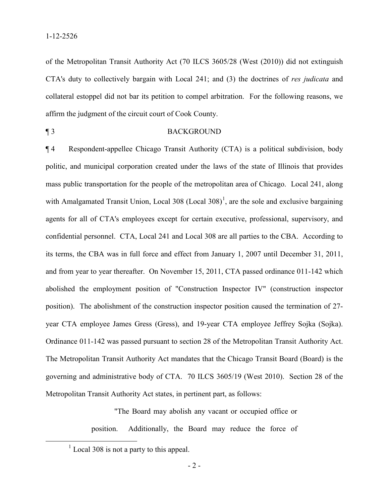of the Metropolitan Transit Authority Act (70 ILCS 3605/28 (West (2010)) did not extinguish CTA's duty to collectively bargain with Local 241; and (3) the doctrines of *res judicata* and collateral estoppel did not bar its petition to compel arbitration. For the following reasons, we affirm the judgment of the circuit court of Cook County.

### ¶ 3 BACKGROUND

¶ 4 Respondent-appellee Chicago Transit Authority (CTA) is a political subdivision, body politic, and municipal corporation created under the laws of the state of Illinois that provides mass public transportation for the people of the metropolitan area of Chicago. Local 241, along with Amalgamated Transit Union, Local 308 (Local 308)<sup>[1](#page-1-0)</sup>, are the sole and exclusive bargaining agents for all of CTA's employees except for certain executive, professional, supervisory, and confidential personnel. CTA, Local 241 and Local 308 are all parties to the CBA. According to its terms, the CBA was in full force and effect from January 1, 2007 until December 31, 2011, and from year to year thereafter. On November 15, 2011, CTA passed ordinance 011-142 which abolished the employment position of "Construction Inspector IV" (construction inspector position). The abolishment of the construction inspector position caused the termination of 27 year CTA employee James Gress (Gress), and 19-year CTA employee Jeffrey Sojka (Sojka). Ordinance 011-142 was passed pursuant to section 28 of the Metropolitan Transit Authority Act. The Metropolitan Transit Authority Act mandates that the Chicago Transit Board (Board) is the governing and administrative body of CTA. 70 ILCS 3605/19 (West 2010). Section 28 of the Metropolitan Transit Authority Act states, in pertinent part, as follows:

> "The Board may abolish any vacant or occupied office or position. Additionally, the Board may reduce the force of

<span id="page-1-0"></span> $<sup>1</sup>$  Local 308 is not a party to this appeal.</sup>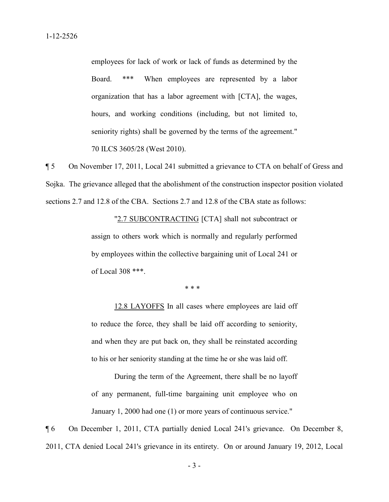employees for lack of work or lack of funds as determined by the Board. \*\*\* When employees are represented by a labor organization that has a labor agreement with [CTA], the wages, hours, and working conditions (including, but not limited to, seniority rights) shall be governed by the terms of the agreement." 70 ILCS 3605/28 (West 2010).

¶ 5 On November 17, 2011, Local 241 submitted a grievance to CTA on behalf of Gress and Sojka. The grievance alleged that the abolishment of the construction inspector position violated sections 2.7 and 12.8 of the CBA. Sections 2.7 and 12.8 of the CBA state as follows:

> "2.7 SUBCONTRACTING [CTA] shall not subcontract or assign to others work which is normally and regularly performed by employees within the collective bargaining unit of Local 241 or of Local 308 \*\*\*.

> > $* * *$

12.8 LAYOFFS In all cases where employees are laid off to reduce the force, they shall be laid off according to seniority, and when they are put back on, they shall be reinstated according to his or her seniority standing at the time he or she was laid off.

During the term of the Agreement, there shall be no layoff of any permanent, full-time bargaining unit employee who on January 1, 2000 had one (1) or more years of continuous service."

¶ 6 On December 1, 2011, CTA partially denied Local 241's grievance. On December 8, 2011, CTA denied Local 241's grievance in its entirety. On or around January 19, 2012, Local

- 3 -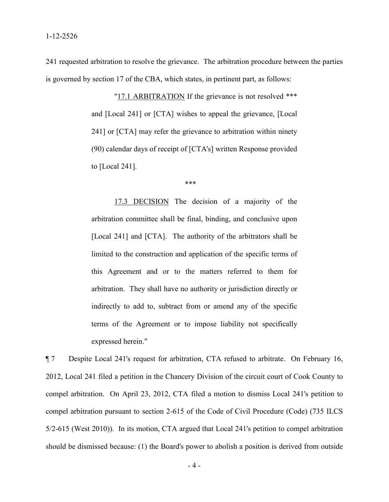241 requested arbitration to resolve the grievance. The arbitration procedure between the parties is governed by section 17 of the CBA, which states, in pertinent part, as follows:

> "17.1 ARBITRATION If the grievance is not resolved \*\*\* and [Local 241] or [CTA] wishes to appeal the grievance, [Local 241] or [CTA] may refer the grievance to arbitration within ninety (90) calendar days of receipt of [CTA's] written Response provided to [Local 241].

 $***$ 

17.3 DECISION The decision of a majority of the arbitration committee shall be final, binding, and conclusive upon [Local 241] and [CTA]. The authority of the arbitrators shall be limited to the construction and application of the specific terms of this Agreement and or to the matters referred to them for arbitration. They shall have no authority or jurisdiction directly or indirectly to add to, subtract from or amend any of the specific terms of the Agreement or to impose liability not specifically expressed herein."

¶ 7 Despite Local 241's request for arbitration, CTA refused to arbitrate. On February 16, 2012, Local 241 filed a petition in the Chancery Division of the circuit court of Cook County to compel arbitration. On April 23, 2012, CTA filed a motion to dismiss Local 241's petition to compel arbitration pursuant to section 2-615 of the Code of Civil Procedure (Code) (735 ILCS 5/2-615 (West 2010)). In its motion, CTA argued that Local 241's petition to compel arbitration should be dismissed because: (1) the Board's power to abolish a position is derived from outside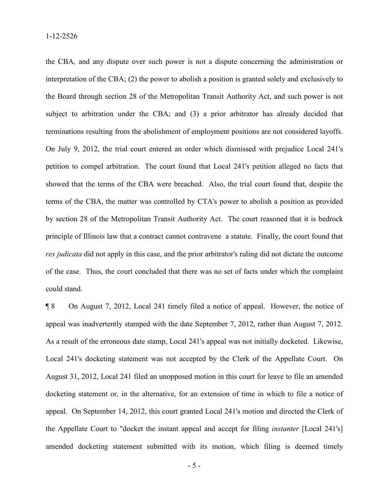the CBA, and any dispute over such power is not a dispute concerning the administration or interpretation of the CBA; (2) the power to abolish a position is granted solely and exclusively to the Board through section 28 of the Metropolitan Transit Authority Act, and such power is not subject to arbitration under the CBA; and (3) a prior arbitrator has already decided that terminations resulting from the abolishment of employment positions are not considered layoffs. On July 9, 2012, the trial court entered an order which dismissed with prejudice Local 241's petition to compel arbitration. The court found that Local 241's petition alleged no facts that showed that the terms of the CBA were breached. Also, the trial court found that, despite the terms of the CBA, the matter was controlled by CTA's power to abolish a position as provided by section 28 of the Metropolitan Transit Authority Act. The court reasoned that it is bedrock principle of Illinois law that a contract cannot contravene a statute. Finally, the court found that *res judicata* did not apply in this case, and the prior arbitrator's ruling did not dictate the outcome of the case. Thus, the court concluded that there was no set of facts under which the complaint could stand.

¶ 8 On August 7, 2012, Local 241 timely filed a notice of appeal. However, the notice of appeal was inadvertently stamped with the date September 7, 2012, rather than August 7, 2012. As a result of the erroneous date stamp, Local 241's appeal was not initially docketed. Likewise, Local 241's docketing statement was not accepted by the Clerk of the Appellate Court. On August 31, 2012, Local 241 filed an unopposed motion in this court for leave to file an amended docketing statement or, in the alternative, for an extension of time in which to file a notice of appeal. On September 14, 2012, this court granted Local 241's motion and directed the Clerk of the Appellate Court to "docket the instant appeal and accept for filing *instanter* [Local 241's] amended docketing statement submitted with its motion, which filing is deemed timely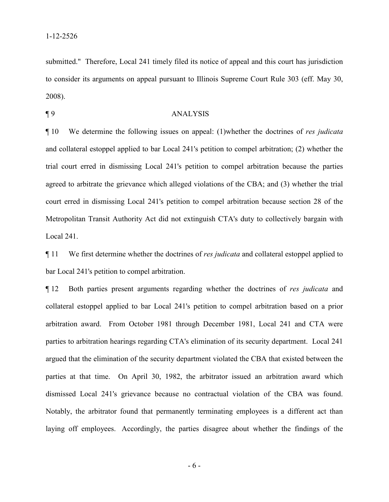submitted." Therefore, Local 241 timely filed its notice of appeal and this court has jurisdiction to consider its arguments on appeal pursuant to Illinois Supreme Court Rule 303 (eff. May 30, 2008).

#### ¶ 9 ANALYSIS

¶ 10 We determine the following issues on appeal: (1)whether the doctrines of *res judicata* and collateral estoppel applied to bar Local 241's petition to compel arbitration; (2) whether the trial court erred in dismissing Local 241's petition to compel arbitration because the parties agreed to arbitrate the grievance which alleged violations of the CBA; and (3) whether the trial court erred in dismissing Local 241's petition to compel arbitration because section 28 of the Metropolitan Transit Authority Act did not extinguish CTA's duty to collectively bargain with Local 241.

¶ 11 We first determine whether the doctrines of *res judicata* and collateral estoppel applied to bar Local 241's petition to compel arbitration.

¶ 12 Both parties present arguments regarding whether the doctrines of *res judicata* and collateral estoppel applied to bar Local 241's petition to compel arbitration based on a prior arbitration award. From October 1981 through December 1981, Local 241 and CTA were parties to arbitration hearings regarding CTA's elimination of its security department. Local 241 argued that the elimination of the security department violated the CBA that existed between the parties at that time. On April 30, 1982, the arbitrator issued an arbitration award which dismissed Local 241's grievance because no contractual violation of the CBA was found. Notably, the arbitrator found that permanently terminating employees is a different act than laying off employees. Accordingly, the parties disagree about whether the findings of the

- 6 -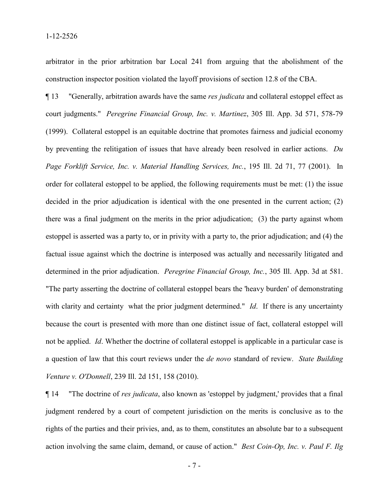arbitrator in the prior arbitration bar Local 241 from arguing that the abolishment of the construction inspector position violated the layoff provisions of section 12.8 of the CBA.

¶ 13 "Generally, arbitration awards have the same *res judicata* and collateral estoppel effect as court judgments." *Peregrine Financial Group, Inc. v. Martinez*, 305 Ill. App. 3d 571, 578-79 (1999). Collateral estoppel is an equitable doctrine that promotes fairness and judicial economy by preventing the relitigation of issues that have already been resolved in earlier actions. *Du Page Forklift Service, Inc. v. Material Handling Services, Inc.*, 195 Ill. 2d 71, 77 (2001). In order for collateral estoppel to be applied, the following requirements must be met: (1) the issue decided in the prior adjudication is identical with the one presented in the current action; (2) there was a final judgment on the merits in the prior adjudication; (3) the party against whom estoppel is asserted was a party to, or in privity with a party to, the prior adjudication; and (4) the factual issue against which the doctrine is interposed was actually and necessarily litigated and determined in the prior adjudication. *Peregrine Financial Group, Inc.*, 305 Ill. App. 3d at 581. "The party asserting the doctrine of collateral estoppel bears the 'heavy burden' of demonstrating with clarity and certainty what the prior judgment determined." *Id.* If there is any uncertainty because the court is presented with more than one distinct issue of fact, collateral estoppel will not be applied. *Id*. Whether the doctrine of collateral estoppel is applicable in a particular case is a question of law that this court reviews under the *de novo* standard of review. *State Building Venture v. O'Donnell*, 239 Ill. 2d 151, 158 (2010).

¶ 14 "The doctrine of *res judicata*, also known as 'estoppel by judgment,' provides that a final judgment rendered by a court of competent jurisdiction on the merits is conclusive as to the rights of the parties and their privies, and, as to them, constitutes an absolute bar to a subsequent action involving the same claim, demand, or cause of action." *Best Coin-Op, Inc. v. Paul F. Ilg* 

- 7 -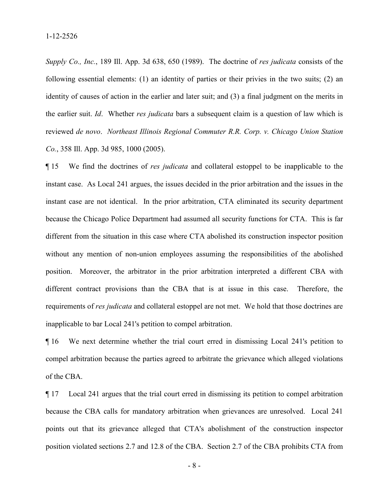*Supply Co., Inc.*, 189 Ill. App. 3d 638, 650 (1989). The doctrine of *res judicata* consists of the following essential elements: (1) an identity of parties or their privies in the two suits; (2) an identity of causes of action in the earlier and later suit; and (3) a final judgment on the merits in the earlier suit. *Id*. Whether *res judicata* bars a subsequent claim is a question of law which is reviewed *de novo*. *Northeast Illinois Regional Commuter R.R. Corp. v. Chicago Union Station Co.*, 358 Ill. App. 3d 985, 1000 (2005).

¶ 15 We find the doctrines of *res judicata* and collateral estoppel to be inapplicable to the instant case. As Local 241 argues, the issues decided in the prior arbitration and the issues in the instant case are not identical. In the prior arbitration, CTA eliminated its security department because the Chicago Police Department had assumed all security functions for CTA. This is far different from the situation in this case where CTA abolished its construction inspector position without any mention of non-union employees assuming the responsibilities of the abolished position. Moreover, the arbitrator in the prior arbitration interpreted a different CBA with different contract provisions than the CBA that is at issue in this case. Therefore, the requirements of *res judicata* and collateral estoppel are not met. We hold that those doctrines are inapplicable to bar Local 241's petition to compel arbitration.

¶ 16 We next determine whether the trial court erred in dismissing Local 241's petition to compel arbitration because the parties agreed to arbitrate the grievance which alleged violations of the CBA.

¶ 17 Local 241 argues that the trial court erred in dismissing its petition to compel arbitration because the CBA calls for mandatory arbitration when grievances are unresolved. Local 241 points out that its grievance alleged that CTA's abolishment of the construction inspector position violated sections 2.7 and 12.8 of the CBA. Section 2.7 of the CBA prohibits CTA from

- 8 -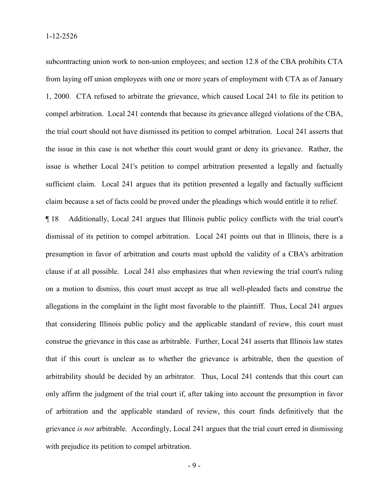subcontracting union work to non-union employees; and section 12.8 of the CBA prohibits CTA from laying off union employees with one or more years of employment with CTA as of January 1, 2000. CTA refused to arbitrate the grievance, which caused Local 241 to file its petition to compel arbitration. Local 241 contends that because its grievance alleged violations of the CBA, the trial court should not have dismissed its petition to compel arbitration. Local 241 asserts that the issue in this case is not whether this court would grant or deny its grievance. Rather, the issue is whether Local 241's petition to compel arbitration presented a legally and factually sufficient claim. Local 241 argues that its petition presented a legally and factually sufficient claim because a set of facts could be proved under the pleadings which would entitle it to relief.

¶ 18 Additionally, Local 241 argues that Illinois public policy conflicts with the trial court's dismissal of its petition to compel arbitration. Local 241 points out that in Illinois, there is a presumption in favor of arbitration and courts must uphold the validity of a CBA's arbitration clause if at all possible. Local 241 also emphasizes that when reviewing the trial court's ruling on a motion to dismiss, this court must accept as true all well-pleaded facts and construe the allegations in the complaint in the light most favorable to the plaintiff. Thus, Local 241 argues that considering Illinois public policy and the applicable standard of review, this court must construe the grievance in this case as arbitrable. Further, Local 241 asserts that Illinois law states that if this court is unclear as to whether the grievance is arbitrable, then the question of arbitrability should be decided by an arbitrator. Thus, Local 241 contends that this court can only affirm the judgment of the trial court if, after taking into account the presumption in favor of arbitration and the applicable standard of review, this court finds definitively that the grievance *is not* arbitrable. Accordingly, Local 241 argues that the trial court erred in dismissing with prejudice its petition to compel arbitration.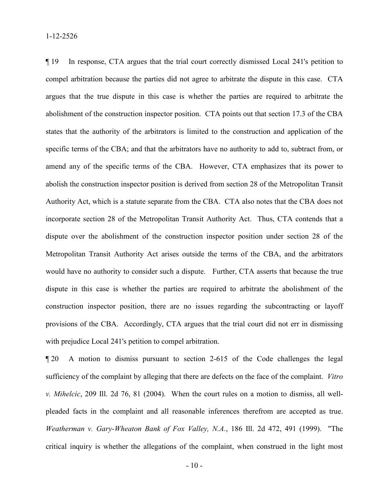¶ 19 In response, CTA argues that the trial court correctly dismissed Local 241's petition to compel arbitration because the parties did not agree to arbitrate the dispute in this case. CTA argues that the true dispute in this case is whether the parties are required to arbitrate the abolishment of the construction inspector position. CTA points out that section 17.3 of the CBA states that the authority of the arbitrators is limited to the construction and application of the specific terms of the CBA; and that the arbitrators have no authority to add to, subtract from, or amend any of the specific terms of the CBA. However, CTA emphasizes that its power to abolish the construction inspector position is derived from section 28 of the Metropolitan Transit Authority Act, which is a statute separate from the CBA. CTA also notes that the CBA does not incorporate section 28 of the Metropolitan Transit Authority Act. Thus, CTA contends that a dispute over the abolishment of the construction inspector position under section 28 of the Metropolitan Transit Authority Act arises outside the terms of the CBA, and the arbitrators would have no authority to consider such a dispute. Further, CTA asserts that because the true dispute in this case is whether the parties are required to arbitrate the abolishment of the construction inspector position, there are no issues regarding the subcontracting or layoff provisions of the CBA. Accordingly, CTA argues that the trial court did not err in dismissing with prejudice Local 241's petition to compel arbitration.

¶ 20 A motion to dismiss pursuant to section 2-615 of the Code challenges the legal sufficiency of the complaint by alleging that there are defects on the face of the complaint. *Vitro v. Mihelcic*, 209 Ill. 2d 76, 81 (2004). When the court rules on a motion to dismiss, all wellpleaded facts in the complaint and all reasonable inferences therefrom are accepted as true. *Weatherman v. Gary-Wheaton Bank of Fox Valley, N.A.*, 186 Ill. 2d 472, 491 (1999). "The critical inquiry is whether the allegations of the complaint, when construed in the light most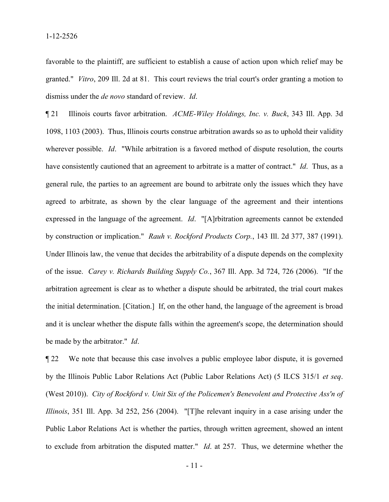favorable to the plaintiff, are sufficient to establish a cause of action upon which relief may be granted." *Vitro*, 209 Ill. 2d at 81. This court reviews the trial court's order granting a motion to dismiss under the *de novo* standard of review. *Id*.

¶ 21 Illinois courts favor arbitration. *ACME-Wiley Holdings, Inc. v. Buck*, 343 Ill. App. 3d 1098, 1103 (2003). Thus, Illinois courts construe arbitration awards so as to uphold their validity wherever possible. *Id*. "While arbitration is a favored method of dispute resolution, the courts have consistently cautioned that an agreement to arbitrate is a matter of contract." *Id*. Thus, as a general rule, the parties to an agreement are bound to arbitrate only the issues which they have agreed to arbitrate, as shown by the clear language of the agreement and their intentions expressed in the language of the agreement. *Id*. "[A]rbitration agreements cannot be extended by construction or implication." *Rauh v. Rockford Products Corp.*, 143 Ill. 2d 377, 387 (1991). Under Illinois law, the venue that decides the arbitrability of a dispute depends on the complexity of the issue. *Carey v. Richards Building Supply Co.*, 367 Ill. App. 3d 724, 726 (2006). "If the arbitration agreement is clear as to whether a dispute should be arbitrated, the trial court makes the initial determination. [Citation.] If, on the other hand, the language of the agreement is broad and it is unclear whether the dispute falls within the agreement's scope, the determination should be made by the arbitrator." *Id*.

¶ 22 We note that because this case involves a public employee labor dispute, it is governed by the Illinois Public Labor Relations Act (Public Labor Relations Act) (5 ILCS 315/1 *et seq*. (West 2010)). *City of Rockford v. Unit Six of the Policemen's Benevolent and Protective Ass'n of Illinois*, 351 Ill. App. 3d 252, 256 (2004). "[T]he relevant inquiry in a case arising under the Public Labor Relations Act is whether the parties, through written agreement, showed an intent to exclude from arbitration the disputed matter." *Id*. at 257. Thus, we determine whether the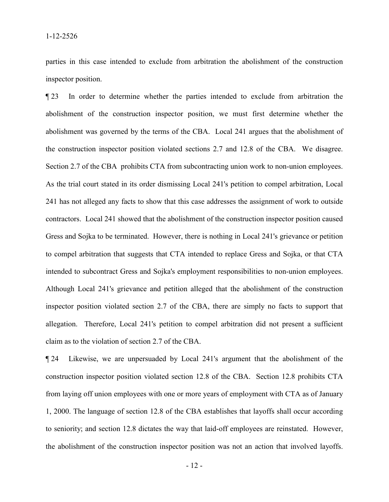parties in this case intended to exclude from arbitration the abolishment of the construction inspector position.

¶ 23 In order to determine whether the parties intended to exclude from arbitration the abolishment of the construction inspector position, we must first determine whether the abolishment was governed by the terms of the CBA. Local 241 argues that the abolishment of the construction inspector position violated sections 2.7 and 12.8 of the CBA. We disagree. Section 2.7 of the CBA prohibits CTA from subcontracting union work to non-union employees. As the trial court stated in its order dismissing Local 241's petition to compel arbitration, Local 241 has not alleged any facts to show that this case addresses the assignment of work to outside contractors. Local 241 showed that the abolishment of the construction inspector position caused Gress and Sojka to be terminated. However, there is nothing in Local 241's grievance or petition to compel arbitration that suggests that CTA intended to replace Gress and Sojka, or that CTA intended to subcontract Gress and Sojka's employment responsibilities to non-union employees. Although Local 241's grievance and petition alleged that the abolishment of the construction inspector position violated section 2.7 of the CBA, there are simply no facts to support that allegation. Therefore, Local 241's petition to compel arbitration did not present a sufficient claim as to the violation of section 2.7 of the CBA.

¶ 24 Likewise, we are unpersuaded by Local 241's argument that the abolishment of the construction inspector position violated section 12.8 of the CBA. Section 12.8 prohibits CTA from laying off union employees with one or more years of employment with CTA as of January 1, 2000. The language of section 12.8 of the CBA establishes that layoffs shall occur according to seniority; and section 12.8 dictates the way that laid-off employees are reinstated. However, the abolishment of the construction inspector position was not an action that involved layoffs.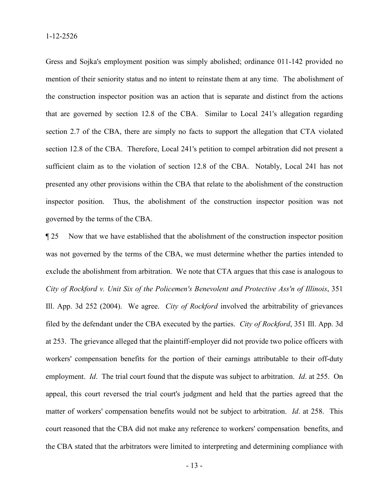Gress and Sojka's employment position was simply abolished; ordinance 011-142 provided no mention of their seniority status and no intent to reinstate them at any time. The abolishment of the construction inspector position was an action that is separate and distinct from the actions that are governed by section 12.8 of the CBA. Similar to Local 241's allegation regarding section 2.7 of the CBA, there are simply no facts to support the allegation that CTA violated section 12.8 of the CBA. Therefore, Local 241's petition to compel arbitration did not present a sufficient claim as to the violation of section 12.8 of the CBA. Notably, Local 241 has not presented any other provisions within the CBA that relate to the abolishment of the construction inspector position. Thus, the abolishment of the construction inspector position was not governed by the terms of the CBA.

¶ 25 Now that we have established that the abolishment of the construction inspector position was not governed by the terms of the CBA, we must determine whether the parties intended to exclude the abolishment from arbitration. We note that CTA argues that this case is analogous to *City of Rockford v. Unit Six of the Policemen's Benevolent and Protective Ass'n of Illinois*, 351 Ill. App. 3d 252 (2004). We agree. *City of Rockford* involved the arbitrability of grievances filed by the defendant under the CBA executed by the parties. *City of Rockford*, 351 Ill. App. 3d at 253. The grievance alleged that the plaintiff-employer did not provide two police officers with workers' compensation benefits for the portion of their earnings attributable to their off-duty employment. *Id*. The trial court found that the dispute was subject to arbitration. *Id*. at 255. On appeal, this court reversed the trial court's judgment and held that the parties agreed that the matter of workers' compensation benefits would not be subject to arbitration. *Id*. at 258. This court reasoned that the CBA did not make any reference to workers' compensation benefits, and the CBA stated that the arbitrators were limited to interpreting and determining compliance with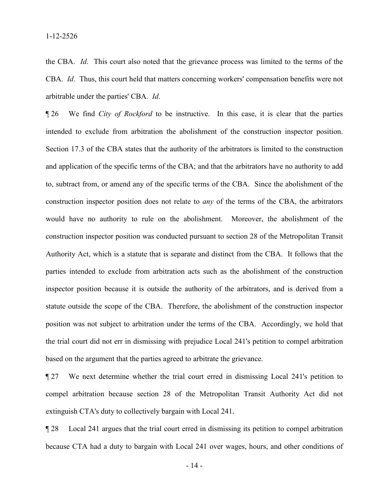the CBA. *Id*. This court also noted that the grievance process was limited to the terms of the CBA. *Id*. Thus, this court held that matters concerning workers' compensation benefits were not arbitrable under the parties' CBA. *Id*.

¶ 26 We find *City of Rockford* to be instructive. In this case, it is clear that the parties intended to exclude from arbitration the abolishment of the construction inspector position. Section 17.3 of the CBA states that the authority of the arbitrators is limited to the construction and application of the specific terms of the CBA; and that the arbitrators have no authority to add to, subtract from, or amend any of the specific terms of the CBA. Since the abolishment of the construction inspector position does not relate to *any* of the terms of the CBA, the arbitrators would have no authority to rule on the abolishment. Moreover, the abolishment of the construction inspector position was conducted pursuant to section 28 of the Metropolitan Transit Authority Act, which is a statute that is separate and distinct from the CBA. It follows that the parties intended to exclude from arbitration acts such as the abolishment of the construction inspector position because it is outside the authority of the arbitrators, and is derived from a statute outside the scope of the CBA. Therefore, the abolishment of the construction inspector position was not subject to arbitration under the terms of the CBA. Accordingly, we hold that the trial court did not err in dismissing with prejudice Local 241's petition to compel arbitration based on the argument that the parties agreed to arbitrate the grievance.

¶ 27 We next determine whether the trial court erred in dismissing Local 241's petition to compel arbitration because section 28 of the Metropolitan Transit Authority Act did not extinguish CTA's duty to collectively bargain with Local 241.

¶ 28 Local 241 argues that the trial court erred in dismissing its petition to compel arbitration because CTA had a duty to bargain with Local 241 over wages, hours, and other conditions of

- 14 -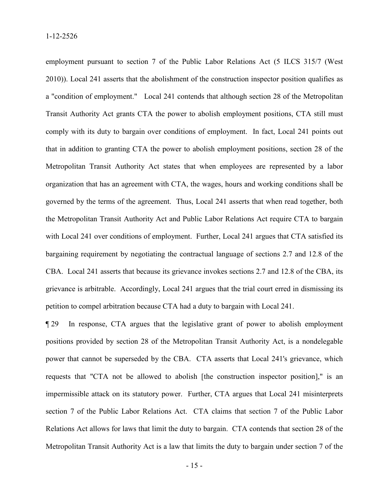employment pursuant to section 7 of the Public Labor Relations Act (5 ILCS 315/7 (West 2010)). Local 241 asserts that the abolishment of the construction inspector position qualifies as a "condition of employment." Local 241 contends that although section 28 of the Metropolitan Transit Authority Act grants CTA the power to abolish employment positions, CTA still must comply with its duty to bargain over conditions of employment. In fact, Local 241 points out that in addition to granting CTA the power to abolish employment positions, section 28 of the Metropolitan Transit Authority Act states that when employees are represented by a labor organization that has an agreement with CTA, the wages, hours and working conditions shall be governed by the terms of the agreement. Thus, Local 241 asserts that when read together, both the Metropolitan Transit Authority Act and Public Labor Relations Act require CTA to bargain with Local 241 over conditions of employment. Further, Local 241 argues that CTA satisfied its bargaining requirement by negotiating the contractual language of sections 2.7 and 12.8 of the CBA. Local 241 asserts that because its grievance invokes sections 2.7 and 12.8 of the CBA, its grievance is arbitrable. Accordingly, Local 241 argues that the trial court erred in dismissing its petition to compel arbitration because CTA had a duty to bargain with Local 241.

¶ 29 In response, CTA argues that the legislative grant of power to abolish employment positions provided by section 28 of the Metropolitan Transit Authority Act, is a nondelegable power that cannot be superseded by the CBA. CTA asserts that Local 241's grievance, which requests that "CTA not be allowed to abolish [the construction inspector position]," is an impermissible attack on its statutory power. Further, CTA argues that Local 241 misinterprets section 7 of the Public Labor Relations Act. CTA claims that section 7 of the Public Labor Relations Act allows for laws that limit the duty to bargain. CTA contends that section 28 of the Metropolitan Transit Authority Act is a law that limits the duty to bargain under section 7 of the

- 15 -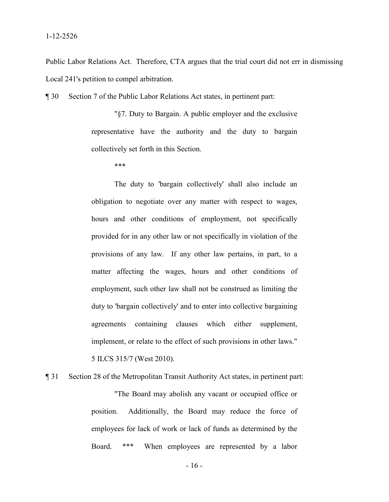Public Labor Relations Act. Therefore, CTA argues that the trial court did not err in dismissing Local 241's petition to compel arbitration.

¶ 30 Section 7 of the Public Labor Relations Act states, in pertinent part:

"§7. Duty to Bargain. A public employer and the exclusive representative have the authority and the duty to bargain collectively set forth in this Section.

\*\*\*

The duty to 'bargain collectively' shall also include an obligation to negotiate over any matter with respect to wages, hours and other conditions of employment, not specifically provided for in any other law or not specifically in violation of the provisions of any law. If any other law pertains, in part, to a matter affecting the wages, hours and other conditions of employment, such other law shall not be construed as limiting the duty to 'bargain collectively' and to enter into collective bargaining agreements containing clauses which either supplement, implement, or relate to the effect of such provisions in other laws." 5 ILCS 315/7 (West 2010).

¶ 31 Section 28 of the Metropolitan Transit Authority Act states, in pertinent part:

"The Board may abolish any vacant or occupied office or position. Additionally, the Board may reduce the force of employees for lack of work or lack of funds as determined by the Board. \*\*\* When employees are represented by a labor

- 16 -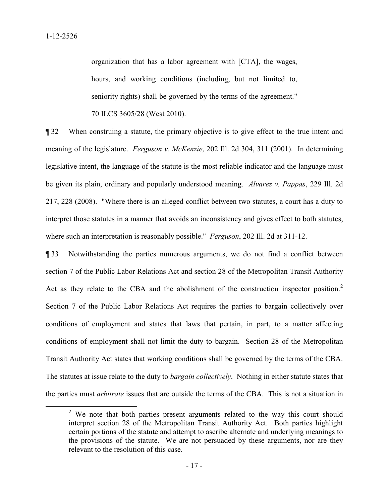organization that has a labor agreement with [CTA], the wages, hours, and working conditions (including, but not limited to, seniority rights) shall be governed by the terms of the agreement."

70 ILCS 3605/28 (West 2010).

¶ 32 When construing a statute, the primary objective is to give effect to the true intent and meaning of the legislature. *Ferguson v. McKenzie*, 202 Ill. 2d 304, 311 (2001). In determining legislative intent, the language of the statute is the most reliable indicator and the language must be given its plain, ordinary and popularly understood meaning. *Alvarez v. Pappas*, 229 Ill. 2d 217, 228 (2008). "Where there is an alleged conflict between two statutes, a court has a duty to interpret those statutes in a manner that avoids an inconsistency and gives effect to both statutes, where such an interpretation is reasonably possible." *Ferguson*, 202 Ill. 2d at 311-12.

¶ 33 Notwithstanding the parties numerous arguments, we do not find a conflict between section 7 of the Public Labor Relations Act and section 28 of the Metropolitan Transit Authority Act as they relate to the CBA and the abolishment of the construction inspector position.<sup>[2](#page-16-0)</sup> Section 7 of the Public Labor Relations Act requires the parties to bargain collectively over conditions of employment and states that laws that pertain, in part, to a matter affecting conditions of employment shall not limit the duty to bargain. Section 28 of the Metropolitan Transit Authority Act states that working conditions shall be governed by the terms of the CBA. The statutes at issue relate to the duty to *bargain collectively*. Nothing in either statute states that the parties must *arbitrate* issues that are outside the terms of the CBA. This is not a situation in

<span id="page-16-0"></span><sup>&</sup>lt;sup>2</sup> We note that both parties present arguments related to the way this court should interpret section 28 of the Metropolitan Transit Authority Act. Both parties highlight certain portions of the statute and attempt to ascribe alternate and underlying meanings to the provisions of the statute. We are not persuaded by these arguments, nor are they relevant to the resolution of this case.